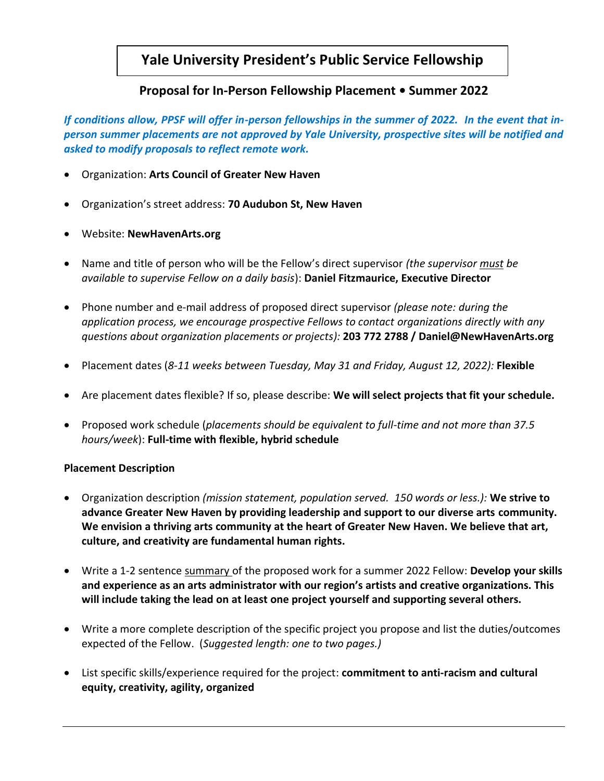# **Yale University President's Public Service Fellowship**

## **Proposal for In-Person Fellowship Placement • Summer 2022**

*If conditions allow, PPSF will offer in-person fellowships in the summer of 2022. In the event that inperson summer placements are not approved by Yale University, prospective sites will be notified and asked to modify proposals to reflect remote work.*

- Organization: **Arts Council of Greater New Haven**
- Organization's street address: **70 Audubon St, New Haven**
- Website: **NewHavenArts.org**
- Name and title of person who will be the Fellow's direct supervisor *(the supervisor must be available to supervise Fellow on a daily basis*): **Daniel Fitzmaurice, Executive Director**
- Phone number and e-mail address of proposed direct supervisor *(please note: during the application process, we encourage prospective Fellows to contact organizations directly with any questions about organization placements or projects):* **203 772 2788 / Daniel@NewHavenArts.org**
- Placement dates (*8-11 weeks between Tuesday, May 31 and Friday, August 12, 2022):* **Flexible**
- Are placement dates flexible? If so, please describe: **We will select projects that fit your schedule.**
- Proposed work schedule (*placements should be equivalent to full-time and not more than 37.5 hours/week*): **Full-time with flexible, hybrid schedule**

### **Placement Description**

- Organization description *(mission statement, population served. 150 words or less.):* **We strive to advance Greater New Haven by providing leadership and support to our diverse arts community. We envision a thriving arts community at the heart of Greater New Haven. We believe that art, culture, and creativity are fundamental human rights.**
- Write a 1-2 sentence summary of the proposed work for a summer 2022 Fellow: **Develop your skills and experience as an arts administrator with our region's artists and creative organizations. This will include taking the lead on at least one project yourself and supporting several others.**
- Write a more complete description of the specific project you propose and list the duties/outcomes expected of the Fellow. (*Suggested length: one to two pages.)*
- List specific skills/experience required for the project: **commitment to anti-racism and cultural equity, creativity, agility, organized**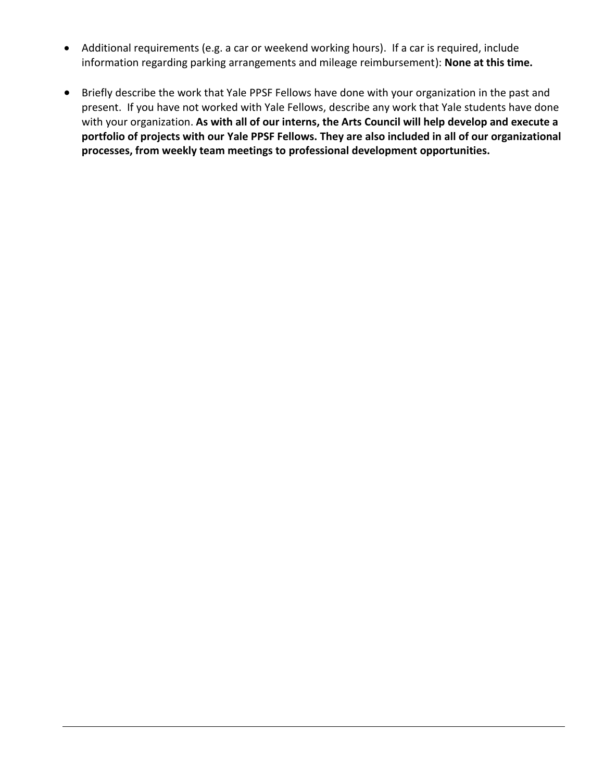- Additional requirements (e.g. a car or weekend working hours). If a car is required, include information regarding parking arrangements and mileage reimbursement): **None at this time.**
- Briefly describe the work that Yale PPSF Fellows have done with your organization in the past and present. If you have not worked with Yale Fellows, describe any work that Yale students have done with your organization. **As with all of our interns, the Arts Council will help develop and execute a portfolio of projects with our Yale PPSF Fellows. They are also included in all of our organizational processes, from weekly team meetings to professional development opportunities.**